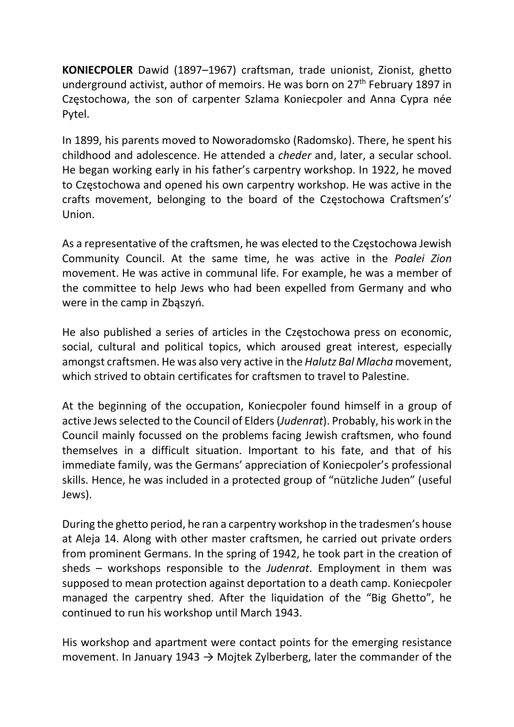KONIECPOLER Dawid (1897–1967) craftsman, trade unionist, Zionist, ghetto underground activist, author of memoirs. He was born on 27<sup>th</sup> February 1897 in Częstochowa, the son of carpenter Szlama Koniecpoler and Anna Cypra née Pytel.

In 1899, his parents moved to Noworadomsko (Radomsko). There, he spent his childhood and adolescence. He attended a cheder and, later, a secular school. He began working early in his father's carpentry workshop. In 1922, he moved to Częstochowa and opened his own carpentry workshop. He was active in the crafts movement, belonging to the board of the Częstochowa Craftsmen's' Union.

As a representative of the craftsmen, he was elected to the Częstochowa Jewish Community Council. At the same time, he was active in the Poalei Zion movement. He was active in communal life. For example, he was a member of the committee to help Jews who had been expelled from Germany and who were in the camp in Zbąszyń.

He also published a series of articles in the Częstochowa press on economic, social, cultural and political topics, which aroused great interest, especially amongst craftsmen. He was also very active in the Halutz Bal Mlacha movement, which strived to obtain certificates for craftsmen to travel to Palestine.

At the beginning of the occupation, Koniecpoler found himself in a group of active Jews selected to the Council of Elders (Judenrat). Probably, his work in the Council mainly focussed on the problems facing Jewish craftsmen, who found themselves in a difficult situation. Important to his fate, and that of his immediate family, was the Germans' appreciation of Koniecpoler's professional skills. Hence, he was included in a protected group of "nützliche Juden" (useful Jews).

During the ghetto period, he ran a carpentry workshop in the tradesmen's house at Aleja 14. Along with other master craftsmen, he carried out private orders from prominent Germans. In the spring of 1942, he took part in the creation of sheds – workshops responsible to the Judenrat. Employment in them was supposed to mean protection against deportation to a death camp. Koniecpoler managed the carpentry shed. After the liquidation of the "Big Ghetto", he continued to run his workshop until March 1943.

His workshop and apartment were contact points for the emerging resistance movement. In January 1943  $\rightarrow$  Mojtek Zylberberg, later the commander of the